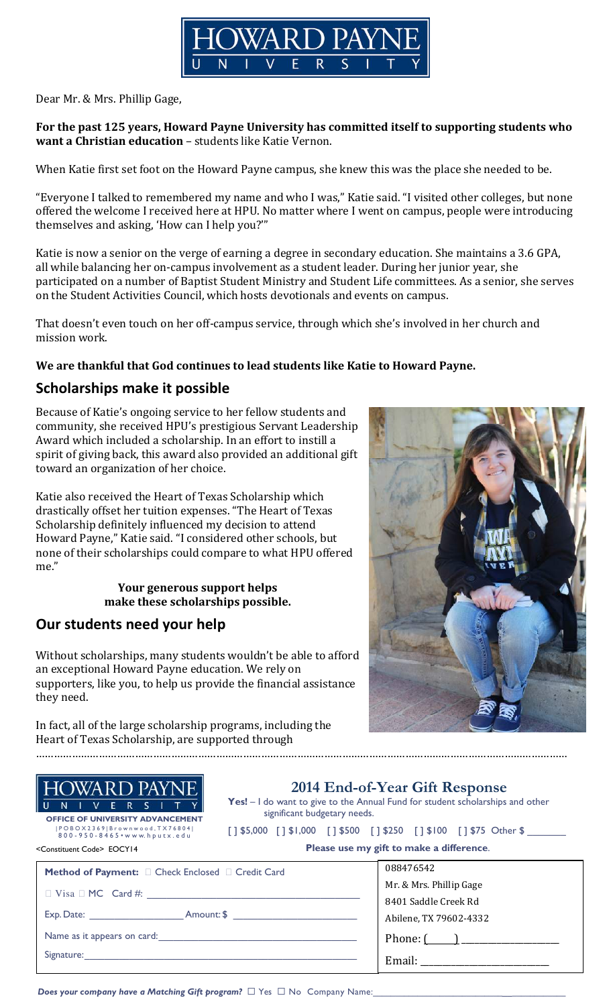

Dear Mr. & Mrs. Phillip Gage,

#### For the past 125 years, Howard Payne University has committed itself to supporting students who want a Christian education – students like Katie Vernon.

When Katie first set foot on the Howard Payne campus, she knew this was the place she needed to be.

"Everyone I talked to remembered my name and who I was," Katie said. "I visited other colleges, but none offered the welcome I received here at HPU. No matter where I went on campus, people were introducing themselves and asking, 'How can I help you?'"

Katie is now a senior on the verge of earning a degree in secondary education. She maintains a 3.6 GPA, all while balancing her on-campus involvement as a student leader. During her junior year, she participated on a number of Baptist Student Ministry and Student Life committees. As a senior, she serves on the Student Activities Council, which hosts devotionals and events on campus.

That doesn't even touch on her off-campus service, through which she's involved in her church and mission work.

### We are thankful that God continues to lead students like Katie to Howard Payne.

## Scholarships make it possible

Because of Katie's ongoing service to her fellow students and community, she received HPU's prestigious Servant Leadership Award which included a scholarship. In an effort to instill a spirit of giving back, this award also provided an additional gift toward an organization of her choice.

Katie also received the Heart of Texas Scholarship which drastically offset her tuition expenses. "The Heart of Texas Scholarship definitely influenced my decision to attend Howard Payne," Katie said. "I considered other schools, but none of their scholarships could compare to what HPU offered me."

#### Your generous support helps make these scholarships possible.

## Our students need your help

Without scholarships, many students wouldn't be able to afford an exceptional Howard Payne education. We rely on supporters, like you, to help us provide the financial assistance they need.

In fact, all of the large scholarship programs, including the Heart of Texas Scholarship, are supported through

……………………………………………………………………………………………………………………………………………………………



| HOWARD PAYNE |
|--------------|
|--------------|

l Ul NIVERSITYI OFFICE OF UNIVERSITY ADVANCEMENT | P O B O X 2 3 6 9 | B r o w n w o o d , T X 7 6 8 0 4 | 8 0 0 - 9 5 0 - 8 4 6 5 • w w w. h p u t x . e d u

<Constituent Code> EOCY14

2014 End-of-Year Gift Response

Yes! – I do want to give to the Annual Fund for student scholarships and other significant budgetary needs.

|  | []\$5,000 []\$1,000 []\$500 []\$250 []\$100 []\$75 Other \$ |  |  |  |  |  |  |
|--|-------------------------------------------------------------|--|--|--|--|--|--|
|--|-------------------------------------------------------------|--|--|--|--|--|--|

|  |  |  |  | Please use my gift to make a difference. |
|--|--|--|--|------------------------------------------|
|--|--|--|--|------------------------------------------|

| <b>Method of Payment:</b><br><b>Check Enclosed</b><br><b>Credit Card</b> | 088476542               |
|--------------------------------------------------------------------------|-------------------------|
|                                                                          | Mr. & Mrs. Phillip Gage |
| Visa $MC$ Card #:                                                        | 8401 Saddle Creek Rd    |
| Exp. Date: $\frac{1}{2}$<br>Amount: \$                                   | Abilene, TX 79602-4332  |
| Name as it appears on card: Name as it appears on card:                  |                         |
| Signature:                                                               | Email:                  |

Does your company have a Matching Gift program? @ Yes @ No Company Name: